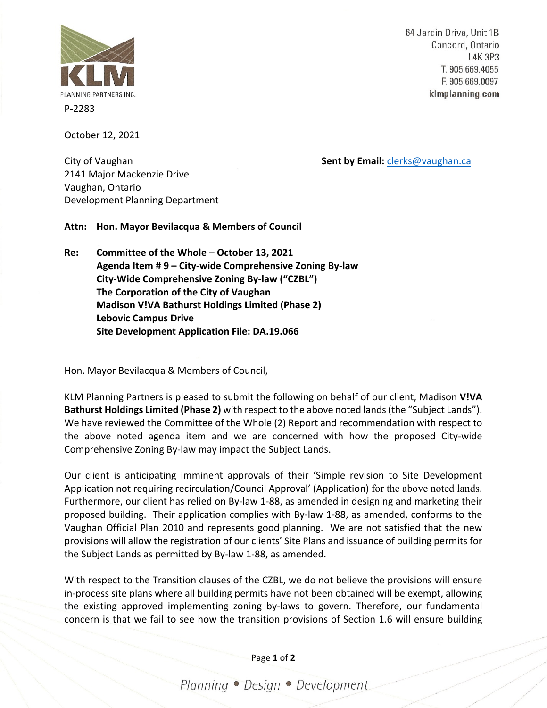

P-2283

October 12, 2021

64 Jardin Drive, Unit 1B Concord, Ontario **L4K 3P3** T. 905.669.4055 F. 905.669.0097 klmplanning.com

City of Vaughan **Sent by Email:** [clerks@vaughan.ca](mailto:clerks@vaughan.ca)

2141 Major Mackenzie Drive Vaughan, Ontario Development Planning Department

**Attn: Hon. Mayor Bevilacqua & Members of Council**

**Re: Committee of the Whole – October 13, 2021 Agenda Item # 9 – City-wide Comprehensive Zoning By-law City-Wide Comprehensive Zoning By-law ("CZBL") The Corporation of the City of Vaughan Madison V!VA Bathurst Holdings Limited (Phase 2) Lebovic Campus Drive Site Development Application File: DA.19.066**

Hon. Mayor Bevilacqua & Members of Council,

KLM Planning Partners is pleased to submit the following on behalf of our client, Madison **V!VA Bathurst Holdings Limited (Phase 2)** with respect to the above noted lands (the "Subject Lands"). We have reviewed the Committee of the Whole (2) Report and recommendation with respect to the above noted agenda item and we are concerned with how the proposed City-wide Comprehensive Zoning By-law may impact the Subject Lands.

Our client is anticipating imminent approvals of their 'Simple revision to Site Development Application not requiring recirculation/Council Approval' (Application) for the above noted lands. Furthermore, our client has relied on By-law 1-88, as amended in designing and marketing their proposed building. Their application complies with By-law 1-88, as amended, conforms to the Vaughan Official Plan 2010 and represents good planning. We are not satisfied that the new provisions will allow the registration of our clients' Site Plans and issuance of building permits for the Subject Lands as permitted by By-law 1-88, as amended.

With respect to the Transition clauses of the CZBL, we do not believe the provisions will ensure in-process site plans where all building permits have not been obtained will be exempt, allowing the existing approved implementing zoning by-laws to govern. Therefore, our fundamental concern is that we fail to see how the transition provisions of Section 1.6 will ensure building

Page **1** of **2**

Planning · Design · Development